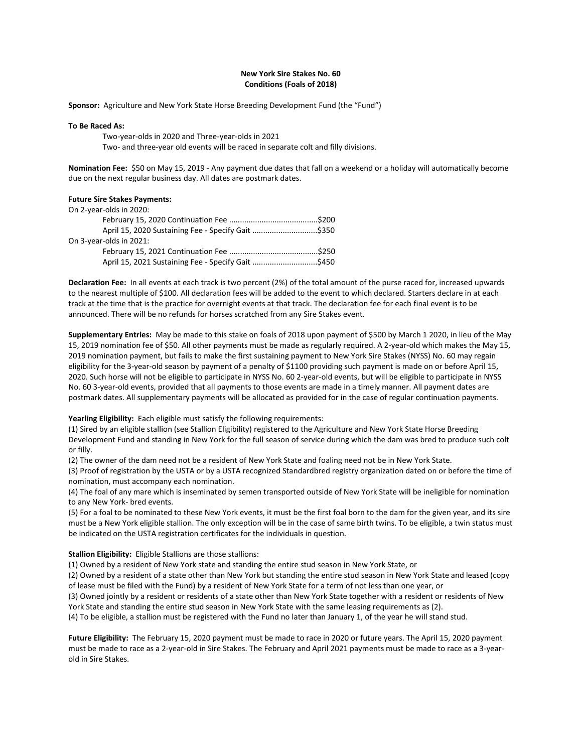# **New York Sire Stakes No. 60 Conditions (Foals of 2018)**

**Sponsor:** Agriculture and New York State Horse Breeding Development Fund (the "Fund")

#### **To Be Raced As:**

Two-year-olds in 2020 and Three-year-olds in 2021

Two- and three-year old events will be raced in separate colt and filly divisions.

**Nomination Fee:** \$50 on May 15, 2019 - Any payment due dates that fall on a weekend or a holiday will automatically become due on the next regular business day. All dates are postmark dates.

#### **Future Sire Stakes Payments:**

| On 2-year-olds in 2020:                            |  |
|----------------------------------------------------|--|
|                                                    |  |
| April 15, 2020 Sustaining Fee - Specify Gait \$350 |  |
| On 3-year-olds in 2021:                            |  |
|                                                    |  |
| April 15, 2021 Sustaining Fee - Specify Gait \$450 |  |

**Declaration Fee:** In all events at each track is two percent (2%) of the total amount of the purse raced for, increased upwards to the nearest multiple of \$100. All declaration fees will be added to the event to which declared. Starters declare in at each track at the time that is the practice for overnight events at that track. The declaration fee for each final event is to be announced. There will be no refunds for horses scratched from any Sire Stakes event.

**Supplementary Entries:** May be made to this stake on foals of 2018 upon payment of \$500 by March 1 2020, in lieu of the May 15, 2019 nomination fee of \$50. All other payments must be made as regularly required. A 2-year-old which makes the May 15, 2019 nomination payment, but fails to make the first sustaining payment to New York Sire Stakes (NYSS) No. 60 may regain eligibility for the 3-year-old season by payment of a penalty of \$1100 providing such payment is made on or before April 15, 2020. Such horse will not be eligible to participate in NYSS No. 60 2-year-old events, but will be eligible to participate in NYSS No. 60 3-year-old events, provided that all payments to those events are made in a timely manner. All payment dates are postmark dates. All supplementary payments will be allocated as provided for in the case of regular continuation payments.

## **Yearling Eligibility:** Each eligible must satisfy the following requirements:

(1) Sired by an eligible stallion (see Stallion Eligibility) registered to the Agriculture and New York State Horse Breeding Development Fund and standing in New York for the full season of service during which the dam was bred to produce such colt or filly.

(2) The owner of the dam need not be a resident of New York State and foaling need not be in New York State.

(3) Proof of registration by the USTA or by a USTA recognized Standardbred registry organization dated on or before the time of nomination, must accompany each nomination.

(4) The foal of any mare which is inseminated by semen transported outside of New York State will be ineligible for nomination to any New York- bred events.

(5) For a foal to be nominated to these New York events, it must be the first foal born to the dam for the given year, and its sire must be a New York eligible stallion. The only exception will be in the case of same birth twins. To be eligible, a twin status must be indicated on the USTA registration certificates for the individuals in question.

## **Stallion Eligibility:** Eligible Stallions are those stallions:

(1) Owned by a resident of New York state and standing the entire stud season in New York State, or

(2) Owned by a resident of a state other than New York but standing the entire stud season in New York State and leased (copy of lease must be filed with the Fund) by a resident of New York State for a term of not less than one year, or

(3) Owned jointly by a resident or residents of a state other than New York State together with a resident or residents of New York State and standing the entire stud season in New York State with the same leasing requirements as (2).

(4) To be eligible, a stallion must be registered with the Fund no later than January 1, of the year he will stand stud.

**Future Eligibility:** The February 15, 2020 payment must be made to race in 2020 or future years. The April 15, 2020 payment must be made to race as a 2-year-old in Sire Stakes. The February and April 2021 payments must be made to race as a 3-yearold in Sire Stakes.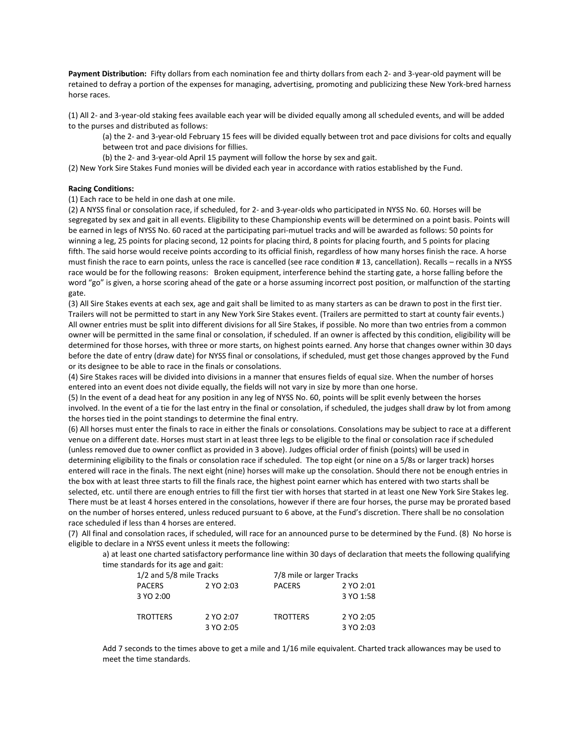**Payment Distribution:** Fifty dollars from each nomination fee and thirty dollars from each 2- and 3-year-old payment will be retained to defray a portion of the expenses for managing, advertising, promoting and publicizing these New York-bred harness horse races.

(1) All 2- and 3-year-old staking fees available each year will be divided equally among all scheduled events, and will be added to the purses and distributed as follows:

(a) the 2- and 3-year-old February 15 fees will be divided equally between trot and pace divisions for colts and equally between trot and pace divisions for fillies.

(b) the 2- and 3-year-old April 15 payment will follow the horse by sex and gait.

(2) New York Sire Stakes Fund monies will be divided each year in accordance with ratios established by the Fund.

#### **Racing Conditions:**

(1) Each race to be held in one dash at one mile.

(2) A NYSS final or consolation race, if scheduled, for 2- and 3-year-olds who participated in NYSS No. 60. Horses will be segregated by sex and gait in all events. Eligibility to these Championship events will be determined on a point basis. Points will be earned in legs of NYSS No. 60 raced at the participating pari-mutuel tracks and will be awarded as follows: 50 points for winning a leg, 25 points for placing second, 12 points for placing third, 8 points for placing fourth, and 5 points for placing fifth. The said horse would receive points according to its official finish, regardless of how many horses finish the race. A horse must finish the race to earn points, unless the race is cancelled (see race condition # 13, cancellation). Recalls – recalls in a NYSS race would be for the following reasons: Broken equipment, interference behind the starting gate, a horse falling before the word "go" is given, a horse scoring ahead of the gate or a horse assuming incorrect post position, or malfunction of the starting gate.

(3) All Sire Stakes events at each sex, age and gait shall be limited to as many starters as can be drawn to post in the first tier. Trailers will not be permitted to start in any New York Sire Stakes event. (Trailers are permitted to start at county fair events.) All owner entries must be split into different divisions for all Sire Stakes, if possible. No more than two entries from a common owner will be permitted in the same final or consolation, if scheduled. If an owner is affected by this condition, eligibility will be determined for those horses, with three or more starts, on highest points earned. Any horse that changes owner within 30 days before the date of entry (draw date) for NYSS final or consolations, if scheduled, must get those changes approved by the Fund or its designee to be able to race in the finals or consolations.

(4) Sire Stakes races will be divided into divisions in a manner that ensures fields of equal size. When the number of horses entered into an event does not divide equally, the fields will not vary in size by more than one horse.

(5) In the event of a dead heat for any position in any leg of NYSS No. 60, points will be split evenly between the horses involved. In the event of a tie for the last entry in the final or consolation, if scheduled, the judges shall draw by lot from among the horses tied in the point standings to determine the final entry.

(6) All horses must enter the finals to race in either the finals or consolations. Consolations may be subject to race at a different venue on a different date. Horses must start in at least three legs to be eligible to the final or consolation race if scheduled (unless removed due to owner conflict as provided in 3 above). Judges official order of finish (points) will be used in determining eligibility to the finals or consolation race if scheduled. The top eight (or nine on a 5/8s or larger track) horses entered will race in the finals. The next eight (nine) horses will make up the consolation. Should there not be enough entries in the box with at least three starts to fill the finals race, the highest point earner which has entered with two starts shall be selected, etc. until there are enough entries to fill the first tier with horses that started in at least one New York Sire Stakes leg. There must be at least 4 horses entered in the consolations, however if there are four horses, the purse may be prorated based on the number of horses entered, unless reduced pursuant to 6 above, at the Fund's discretion. There shall be no consolation race scheduled if less than 4 horses are entered.

(7) All final and consolation races, if scheduled, will race for an announced purse to be determined by the Fund. (8) No horse is eligible to declare in a NYSS event unless it meets the following:

a) at least one charted satisfactory performance line within 30 days of declaration that meets the following qualifying time standards for its age and gait:

| 1/2 and 5/8 mile Tracks |           | 7/8 mile or larger Tracks |           |
|-------------------------|-----------|---------------------------|-----------|
| PACERS                  | 2 YO 2:03 | <b>PACERS</b>             | 2 YO 2:01 |
| 3 YO 2:00               |           |                           | 3 YO 1:58 |
| TROTTERS                | 2 YO 2:07 | <b>TROTTERS</b>           | 2 YO 2:05 |
|                         | 3 YO 2:05 |                           | 3 YO 2:03 |

Add 7 seconds to the times above to get a mile and 1/16 mile equivalent. Charted track allowances may be used to meet the time standards.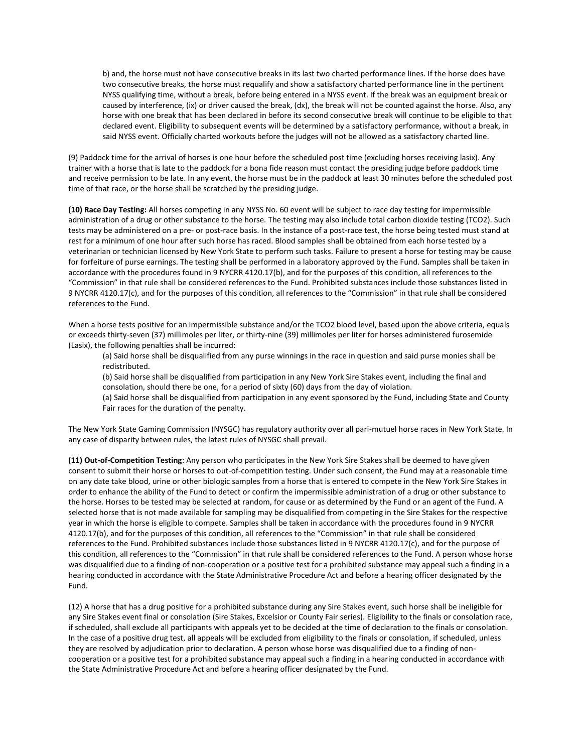b) and, the horse must not have consecutive breaks in its last two charted performance lines. If the horse does have two consecutive breaks, the horse must requalify and show a satisfactory charted performance line in the pertinent NYSS qualifying time, without a break, before being entered in a NYSS event. If the break was an equipment break or caused by interference, (ix) or driver caused the break, (dx), the break will not be counted against the horse. Also, any horse with one break that has been declared in before its second consecutive break will continue to be eligible to that declared event. Eligibility to subsequent events will be determined by a satisfactory performance, without a break, in said NYSS event. Officially charted workouts before the judges will not be allowed as a satisfactory charted line.

(9) Paddock time for the arrival of horses is one hour before the scheduled post time (excluding horses receiving lasix). Any trainer with a horse that is late to the paddock for a bona fide reason must contact the presiding judge before paddock time and receive permission to be late. In any event, the horse must be in the paddock at least 30 minutes before the scheduled post time of that race, or the horse shall be scratched by the presiding judge.

**(10) Race Day Testing:** All horses competing in any NYSS No. 60 event will be subject to race day testing for impermissible administration of a drug or other substance to the horse. The testing may also include total carbon dioxide testing (TCO2). Such tests may be administered on a pre- or post-race basis. In the instance of a post-race test, the horse being tested must stand at rest for a minimum of one hour after such horse has raced. Blood samples shall be obtained from each horse tested by a veterinarian or technician licensed by New York State to perform such tasks. Failure to present a horse for testing may be cause for forfeiture of purse earnings. The testing shall be performed in a laboratory approved by the Fund. Samples shall be taken in accordance with the procedures found in 9 NYCRR 4120.17(b), and for the purposes of this condition, all references to the "Commission" in that rule shall be considered references to the Fund. Prohibited substances include those substances listed in 9 NYCRR 4120.17(c), and for the purposes of this condition, all references to the "Commission" in that rule shall be considered references to the Fund.

When a horse tests positive for an impermissible substance and/or the TCO2 blood level, based upon the above criteria, equals or exceeds thirty-seven (37) millimoles per liter, or thirty-nine (39) millimoles per liter for horses administered furosemide (Lasix), the following penalties shall be incurred:

(a) Said horse shall be disqualified from any purse winnings in the race in question and said purse monies shall be redistributed.

(b) Said horse shall be disqualified from participation in any New York Sire Stakes event, including the final and consolation, should there be one, for a period of sixty (60) days from the day of violation.

(a) Said horse shall be disqualified from participation in any event sponsored by the Fund, including State and County Fair races for the duration of the penalty.

The New York State Gaming Commission (NYSGC) has regulatory authority over all pari-mutuel horse races in New York State. In any case of disparity between rules, the latest rules of NYSGC shall prevail.

**(11) Out-of-Competition Testing**: Any person who participates in the New York Sire Stakes shall be deemed to have given consent to submit their horse or horses to out-of-competition testing. Under such consent, the Fund may at a reasonable time on any date take blood, urine or other biologic samples from a horse that is entered to compete in the New York Sire Stakes in order to enhance the ability of the Fund to detect or confirm the impermissible administration of a drug or other substance to the horse. Horses to be tested may be selected at random, for cause or as determined by the Fund or an agent of the Fund. A selected horse that is not made available for sampling may be disqualified from competing in the Sire Stakes for the respective year in which the horse is eligible to compete. Samples shall be taken in accordance with the procedures found in 9 NYCRR 4120.17(b), and for the purposes of this condition, all references to the "Commission" in that rule shall be considered references to the Fund. Prohibited substances include those substances listed in 9 NYCRR 4120.17(c), and for the purpose of this condition, all references to the "Commission" in that rule shall be considered references to the Fund. A person whose horse was disqualified due to a finding of non-cooperation or a positive test for a prohibited substance may appeal such a finding in a hearing conducted in accordance with the State Administrative Procedure Act and before a hearing officer designated by the Fund.

(12) A horse that has a drug positive for a prohibited substance during any Sire Stakes event, such horse shall be ineligible for any Sire Stakes event final or consolation (Sire Stakes, Excelsior or County Fair series). Eligibility to the finals or consolation race, if scheduled, shall exclude all participants with appeals yet to be decided at the time of declaration to the finals or consolation. In the case of a positive drug test, all appeals will be excluded from eligibility to the finals or consolation, if scheduled, unless they are resolved by adjudication prior to declaration. A person whose horse was disqualified due to a finding of noncooperation or a positive test for a prohibited substance may appeal such a finding in a hearing conducted in accordance with the State Administrative Procedure Act and before a hearing officer designated by the Fund.